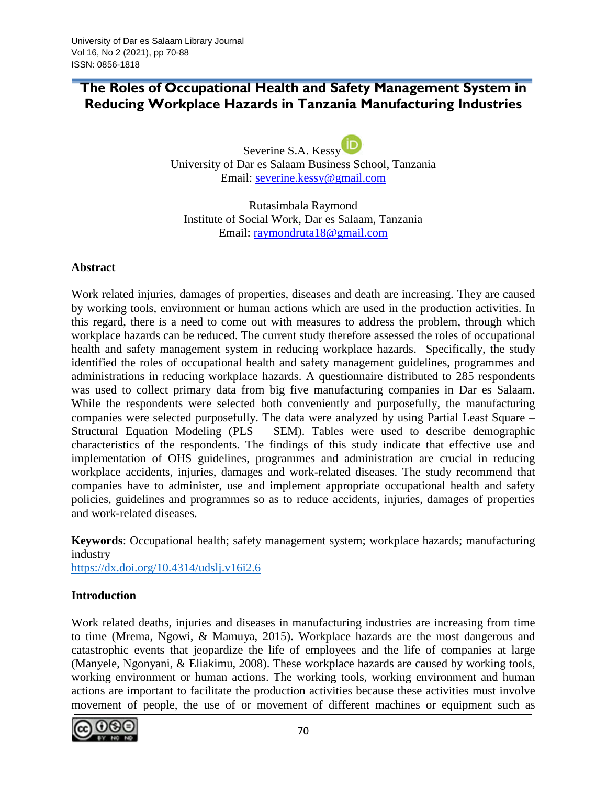Severine S.A. Kess[y](https://orcid.org/0000-0002-6286-8556) University of Dar es Salaam Business School, Tanzania Email: [severine.kessy@gmail.com](mailto:severine.kessy@gmail.com) 

Rutasimbala Raymond Institute of Social Work, Dar es Salaam, Tanzania Email: [raymondruta18@gmail.com](mailto:raymondruta18@gmail.com)

## **Abstract**

Work related injuries, damages of properties, diseases and death are increasing. They are caused by working tools, environment or human actions which are used in the production activities. In this regard, there is a need to come out with measures to address the problem, through which workplace hazards can be reduced. The current study therefore assessed the roles of occupational health and safety management system in reducing workplace hazards. Specifically, the study identified the roles of occupational health and safety management guidelines, programmes and administrations in reducing workplace hazards. A questionnaire distributed to 285 respondents was used to collect primary data from big five manufacturing companies in Dar es Salaam. While the respondents were selected both conveniently and purposefully, the manufacturing companies were selected purposefully. The data were analyzed by using Partial Least Square – Structural Equation Modeling (PLS – SEM). Tables were used to describe demographic characteristics of the respondents. The findings of this study indicate that effective use and implementation of OHS guidelines, programmes and administration are crucial in reducing workplace accidents, injuries, damages and work-related diseases. The study recommend that companies have to administer, use and implement appropriate occupational health and safety policies, guidelines and programmes so as to reduce accidents, injuries, damages of properties and work-related diseases.

**Keywords**: Occupational health; safety management system; workplace hazards; manufacturing industry

<https://dx.doi.org/10.4314/udslj.v16i2.6>

## **Introduction**

Work related deaths, injuries and diseases in manufacturing industries are increasing from time to time (Mrema, Ngowi, & Mamuya, 2015). Workplace hazards are the most dangerous and catastrophic events that jeopardize the life of employees and the life of companies at large (Manyele, Ngonyani, & Eliakimu, 2008). These workplace hazards are caused by working tools, working environment or human actions. The working tools, working environment and human actions are important to facilitate the production activities because these activities must involve movement of people, the use of or movement of different machines or equipment such as

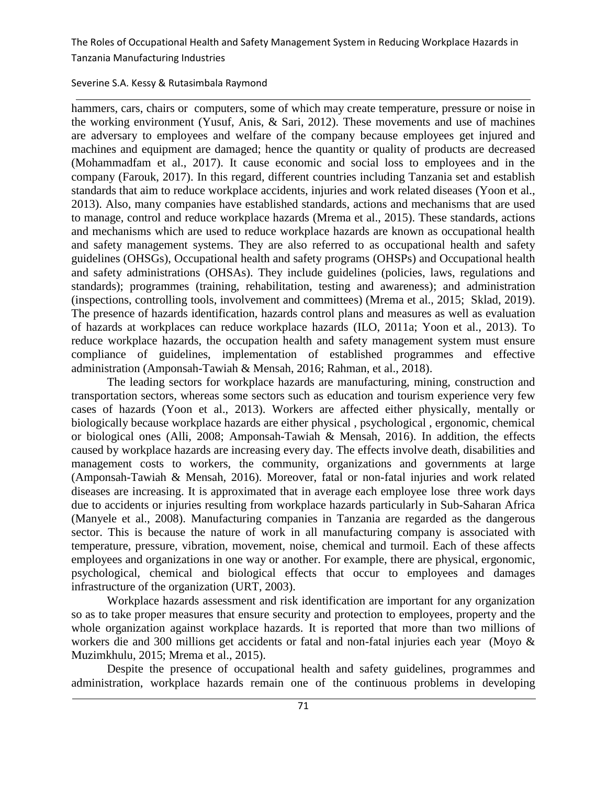Severine S.A. Kessy & Rutasimbala Raymond

hammers, cars, chairs or computers, some of which may create temperature, pressure or noise in the working environment (Yusuf, Anis, & Sari, 2012). These movements and use of machines are adversary to employees and welfare of the company because employees get injured and machines and equipment are damaged; hence the quantity or quality of products are decreased (Mohammadfam et al., 2017). It cause economic and social loss to employees and in the company (Farouk, 2017). In this regard, different countries including Tanzania set and establish standards that aim to reduce workplace accidents, injuries and work related diseases (Yoon et al., 2013). Also, many companies have established standards, actions and mechanisms that are used to manage, control and reduce workplace hazards (Mrema et al., 2015). These standards, actions and mechanisms which are used to reduce workplace hazards are known as occupational health and safety management systems. They are also referred to as occupational health and safety guidelines (OHSGs), Occupational health and safety programs (OHSPs) and Occupational health and safety administrations (OHSAs). They include guidelines (policies, laws, regulations and standards); programmes (training, rehabilitation, testing and awareness); and administration (inspections, controlling tools, involvement and committees) (Mrema et al., 2015; Sklad, 2019). The presence of hazards identification, hazards control plans and measures as well as evaluation of hazards at workplaces can reduce workplace hazards (ILO, 2011a; Yoon et al., 2013). To reduce workplace hazards, the occupation health and safety management system must ensure compliance of guidelines, implementation of established programmes and effective administration (Amponsah-Tawiah & Mensah, 2016; Rahman, et al., 2018).

The leading sectors for workplace hazards are manufacturing, mining, construction and transportation sectors, whereas some sectors such as education and tourism experience very few cases of hazards (Yoon et al., 2013). Workers are affected either physically, mentally or biologically because workplace hazards are either physical , psychological , ergonomic, chemical or biological ones (Alli, 2008; Amponsah-Tawiah & Mensah, 2016). In addition, the effects caused by workplace hazards are increasing every day. The effects involve death, disabilities and management costs to workers, the community, organizations and governments at large (Amponsah-Tawiah & Mensah, 2016). Moreover, fatal or non-fatal injuries and work related diseases are increasing. It is approximated that in average each employee lose three work days due to accidents or injuries resulting from workplace hazards particularly in Sub-Saharan Africa (Manyele et al., 2008). Manufacturing companies in Tanzania are regarded as the dangerous sector. This is because the nature of work in all manufacturing company is associated with temperature, pressure, vibration, movement, noise, chemical and turmoil. Each of these affects employees and organizations in one way or another. For example, there are physical, ergonomic, psychological, chemical and biological effects that occur to employees and damages infrastructure of the organization (URT, 2003).

Workplace hazards assessment and risk identification are important for any organization so as to take proper measures that ensure security and protection to employees, property and the whole organization against workplace hazards. It is reported that more than two millions of workers die and 300 millions get accidents or fatal and non-fatal injuries each year (Moyo & Muzimkhulu, 2015; Mrema et al., 2015).

Despite the presence of occupational health and safety guidelines, programmes and administration, workplace hazards remain one of the continuous problems in developing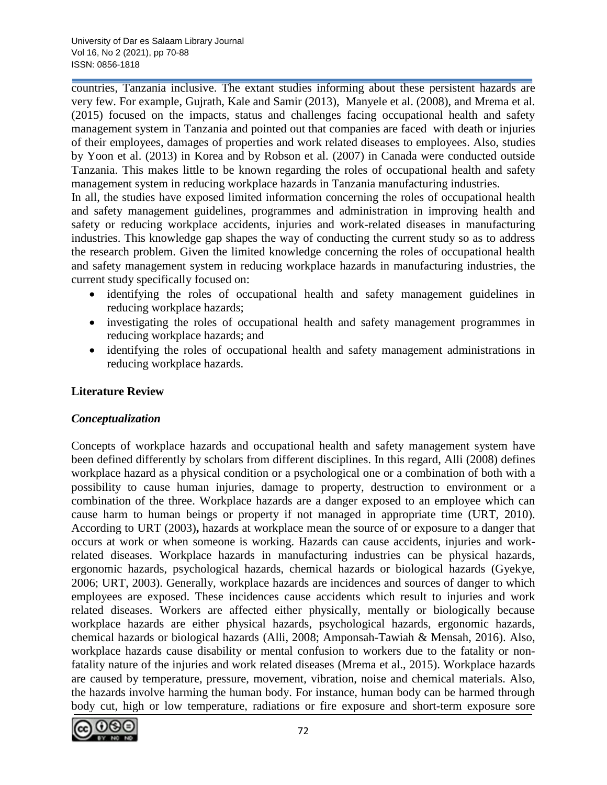countries, Tanzania inclusive. The extant studies informing about these persistent hazards are very few. For example, Gujrath, Kale and Samir (2013), Manyele et al. (2008), and Mrema et al. (2015) focused on the impacts, status and challenges facing occupational health and safety management system in Tanzania and pointed out that companies are faced with death or injuries of their employees, damages of properties and work related diseases to employees. Also, studies by Yoon et al. (2013) in Korea and by Robson et al. (2007) in Canada were conducted outside Tanzania. This makes little to be known regarding the roles of occupational health and safety management system in reducing workplace hazards in Tanzania manufacturing industries.

In all, the studies have exposed limited information concerning the roles of occupational health and safety management guidelines, programmes and administration in improving health and safety or reducing workplace accidents, injuries and work-related diseases in manufacturing industries. This knowledge gap shapes the way of conducting the current study so as to address the research problem. Given the limited knowledge concerning the roles of occupational health and safety management system in reducing workplace hazards in manufacturing industries, the current study specifically focused on:

- identifying the roles of occupational health and safety management guidelines in reducing workplace hazards;
- investigating the roles of occupational health and safety management programmes in reducing workplace hazards; and
- identifying the roles of occupational health and safety management administrations in reducing workplace hazards.

# **Literature Review**

## *Conceptualization*

Concepts of workplace hazards and occupational health and safety management system have been defined differently by scholars from different disciplines. In this regard, Alli (2008) defines workplace hazard as a physical condition or a psychological one or a combination of both with a possibility to cause human injuries, damage to property, destruction to environment or a combination of the three. Workplace hazards are a danger exposed to an employee which can cause harm to human beings or property if not managed in appropriate time (URT, 2010). According to URT (2003)**,** hazards at workplace mean the source of or exposure to a danger that occurs at work or when someone is working. Hazards can cause accidents, injuries and workrelated diseases. Workplace hazards in manufacturing industries can be physical hazards, ergonomic hazards, psychological hazards, chemical hazards or biological hazards (Gyekye, 2006; URT, 2003). Generally, workplace hazards are incidences and sources of danger to which employees are exposed. These incidences cause accidents which result to injuries and work related diseases. Workers are affected either physically, mentally or biologically because workplace hazards are either physical hazards, psychological hazards, ergonomic hazards, chemical hazards or biological hazards (Alli, 2008; Amponsah-Tawiah & Mensah, 2016). Also, workplace hazards cause disability or mental confusion to workers due to the fatality or nonfatality nature of the injuries and work related diseases (Mrema et al., 2015). Workplace hazards are caused by temperature, pressure, movement, vibration, noise and chemical materials. Also, the hazards involve harming the human body. For instance, human body can be harmed through body cut, high or low temperature, radiations or fire exposure and short-term exposure sore

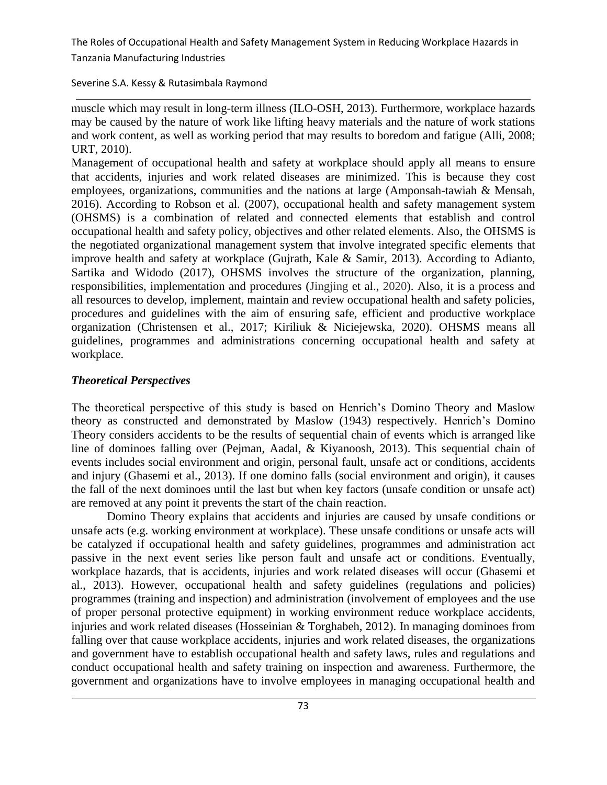Severine S.A. Kessy & Rutasimbala Raymond

muscle which may result in long-term illness (ILO-OSH, 2013). Furthermore, workplace hazards may be caused by the nature of work like lifting heavy materials and the nature of work stations and work content, as well as working period that may results to boredom and fatigue (Alli, 2008; URT, 2010).

Management of occupational health and safety at workplace should apply all means to ensure that accidents, injuries and work related diseases are minimized. This is because they cost employees, organizations, communities and the nations at large (Amponsah-tawiah & Mensah, 2016). According to Robson et al. (2007), occupational health and safety management system (OHSMS) is a combination of related and connected elements that establish and control occupational health and safety policy, objectives and other related elements. Also, the OHSMS is the negotiated organizational management system that involve integrated specific elements that improve health and safety at workplace (Gujrath, Kale & Samir, 2013). According to Adianto, Sartika and Widodo (2017), OHSMS involves the structure of the organization, planning, responsibilities, implementation and procedures (Jingjing et al., 2020). Also, it is a process and all resources to develop, implement, maintain and review occupational health and safety policies, procedures and guidelines with the aim of ensuring safe, efficient and productive workplace organization (Christensen et al., 2017; Kiriliuk & Niciejewska, 2020). OHSMS means all guidelines, programmes and administrations concerning occupational health and safety at workplace.

### *Theoretical Perspectives*

The theoretical perspective of this study is based on Henrich's Domino Theory and Maslow theory as constructed and demonstrated by Maslow (1943) respectively. Henrich's Domino Theory considers accidents to be the results of sequential chain of events which is arranged like line of dominoes falling over (Pejman, Aadal, & Kiyanoosh, 2013). This sequential chain of events includes social environment and origin, personal fault, unsafe act or conditions, accidents and injury (Ghasemi et al.*,* 2013). If one domino falls (social environment and origin), it causes the fall of the next dominoes until the last but when key factors (unsafe condition or unsafe act) are removed at any point it prevents the start of the chain reaction.

Domino Theory explains that accidents and injuries are caused by unsafe conditions or unsafe acts (e.g. working environment at workplace). These unsafe conditions or unsafe acts will be catalyzed if occupational health and safety guidelines, programmes and administration act passive in the next event series like person fault and unsafe act or conditions. Eventually, workplace hazards, that is accidents, injuries and work related diseases will occur (Ghasemi et al., 2013). However, occupational health and safety guidelines (regulations and policies) programmes (training and inspection) and administration (involvement of employees and the use of proper personal protective equipment) in working environment reduce workplace accidents, injuries and work related diseases (Hosseinian & Torghabeh, 2012). In managing dominoes from falling over that cause workplace accidents, injuries and work related diseases, the organizations and government have to establish occupational health and safety laws, rules and regulations and conduct occupational health and safety training on inspection and awareness. Furthermore, the government and organizations have to involve employees in managing occupational health and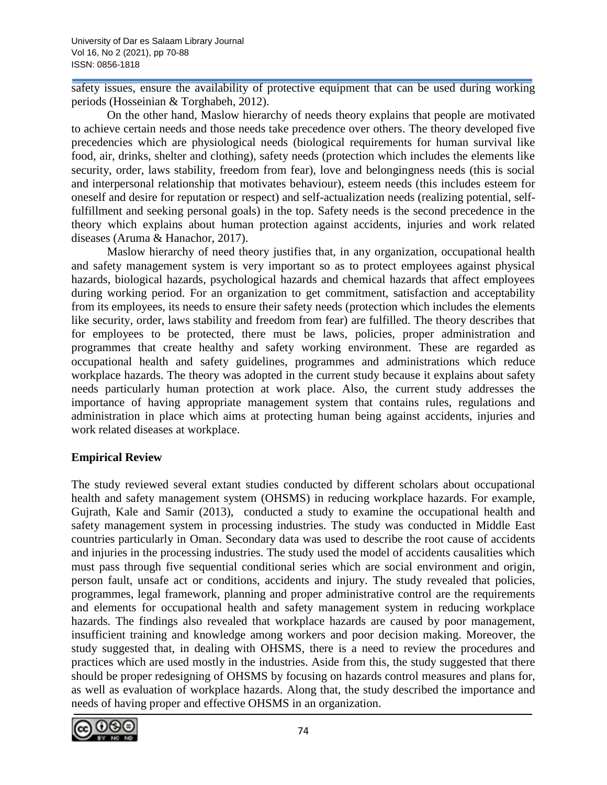safety issues, ensure the availability of protective equipment that can be used during working periods (Hosseinian & Torghabeh, 2012).

On the other hand, Maslow hierarchy of needs theory explains that people are motivated to achieve certain needs and those needs take precedence over others. The theory developed five precedencies which are physiological needs (biological requirements for human survival like food, air, drinks, shelter and clothing), safety needs (protection which includes the elements like security, order, laws stability, freedom from fear), love and belongingness needs (this is social and interpersonal relationship that motivates behaviour), esteem needs (this includes esteem for oneself and desire for reputation or respect) and self-actualization needs (realizing potential, selffulfillment and seeking personal goals) in the top. Safety needs is the second precedence in the theory which explains about human protection against accidents, injuries and work related diseases (Aruma & Hanachor, 2017).

Maslow hierarchy of need theory justifies that, in any organization, occupational health and safety management system is very important so as to protect employees against physical hazards, biological hazards, psychological hazards and chemical hazards that affect employees during working period. For an organization to get commitment, satisfaction and acceptability from its employees, its needs to ensure their safety needs (protection which includes the elements like security, order, laws stability and freedom from fear) are fulfilled. The theory describes that for employees to be protected, there must be laws, policies, proper administration and programmes that create healthy and safety working environment. These are regarded as occupational health and safety guidelines, programmes and administrations which reduce workplace hazards. The theory was adopted in the current study because it explains about safety needs particularly human protection at work place. Also, the current study addresses the importance of having appropriate management system that contains rules, regulations and administration in place which aims at protecting human being against accidents, injuries and work related diseases at workplace.

## **Empirical Review**

The study reviewed several extant studies conducted by different scholars about occupational health and safety management system (OHSMS) in reducing workplace hazards. For example, Gujrath, Kale and Samir (2013), conducted a study to examine the occupational health and safety management system in processing industries. The study was conducted in Middle East countries particularly in Oman. Secondary data was used to describe the root cause of accidents and injuries in the processing industries. The study used the model of accidents causalities which must pass through five sequential conditional series which are social environment and origin, person fault, unsafe act or conditions, accidents and injury. The study revealed that policies, programmes, legal framework, planning and proper administrative control are the requirements and elements for occupational health and safety management system in reducing workplace hazards. The findings also revealed that workplace hazards are caused by poor management, insufficient training and knowledge among workers and poor decision making. Moreover, the study suggested that, in dealing with OHSMS, there is a need to review the procedures and practices which are used mostly in the industries. Aside from this, the study suggested that there should be proper redesigning of OHSMS by focusing on hazards control measures and plans for, as well as evaluation of workplace hazards. Along that, the study described the importance and needs of having proper and effective OHSMS in an organization.

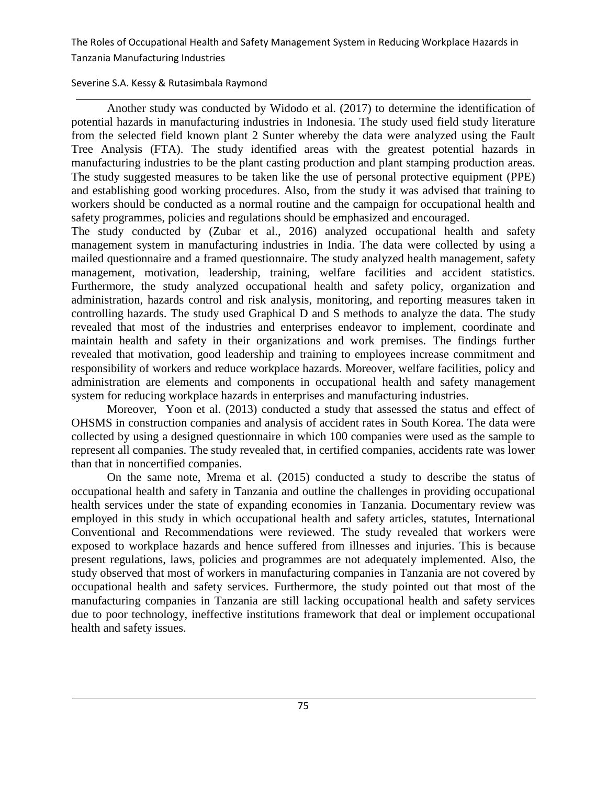### Severine S.A. Kessy & Rutasimbala Raymond

Another study was conducted by Widodo et al. (2017) to determine the identification of potential hazards in manufacturing industries in Indonesia. The study used field study literature from the selected field known plant 2 Sunter whereby the data were analyzed using the Fault Tree Analysis (FTA). The study identified areas with the greatest potential hazards in manufacturing industries to be the plant casting production and plant stamping production areas. The study suggested measures to be taken like the use of personal protective equipment (PPE) and establishing good working procedures. Also, from the study it was advised that training to workers should be conducted as a normal routine and the campaign for occupational health and safety programmes, policies and regulations should be emphasized and encouraged.

The study conducted by (Zubar et al., 2016) analyzed occupational health and safety management system in manufacturing industries in India. The data were collected by using a mailed questionnaire and a framed questionnaire. The study analyzed health management, safety management, motivation, leadership, training, welfare facilities and accident statistics. Furthermore, the study analyzed occupational health and safety policy, organization and administration, hazards control and risk analysis, monitoring, and reporting measures taken in controlling hazards. The study used Graphical D and S methods to analyze the data. The study revealed that most of the industries and enterprises endeavor to implement, coordinate and maintain health and safety in their organizations and work premises. The findings further revealed that motivation, good leadership and training to employees increase commitment and responsibility of workers and reduce workplace hazards. Moreover, welfare facilities, policy and administration are elements and components in occupational health and safety management system for reducing workplace hazards in enterprises and manufacturing industries.

Moreover,Yoon et al. (2013) conducted a study that assessed the status and effect of OHSMS in construction companies and analysis of accident rates in South Korea. The data were collected by using a designed questionnaire in which 100 companies were used as the sample to represent all companies. The study revealed that, in certified companies, accidents rate was lower than that in noncertified companies.

On the same note, Mrema et al. (2015) conducted a study to describe the status of occupational health and safety in Tanzania and outline the challenges in providing occupational health services under the state of expanding economies in Tanzania. Documentary review was employed in this study in which occupational health and safety articles, statutes, International Conventional and Recommendations were reviewed. The study revealed that workers were exposed to workplace hazards and hence suffered from illnesses and injuries. This is because present regulations, laws, policies and programmes are not adequately implemented. Also, the study observed that most of workers in manufacturing companies in Tanzania are not covered by occupational health and safety services. Furthermore, the study pointed out that most of the manufacturing companies in Tanzania are still lacking occupational health and safety services due to poor technology, ineffective institutions framework that deal or implement occupational health and safety issues.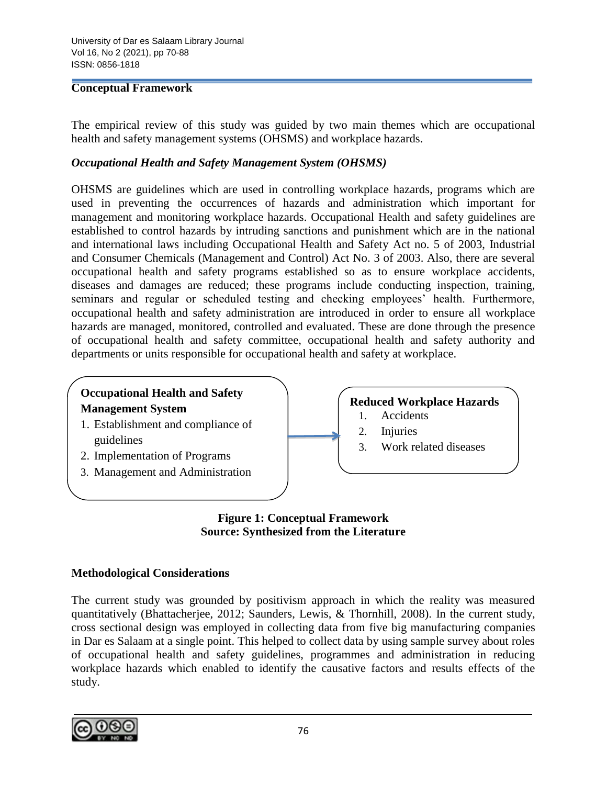### **Conceptual Framework**

The empirical review of this study was guided by two main themes which are occupational health and safety management systems (OHSMS) and workplace hazards.

## *Occupational Health and Safety Management System (OHSMS)*

OHSMS are guidelines which are used in controlling workplace hazards, programs which are used in preventing the occurrences of hazards and administration which important for management and monitoring workplace hazards. Occupational Health and safety guidelines are established to control hazards by intruding sanctions and punishment which are in the national and international laws including Occupational Health and Safety Act no. 5 of 2003, Industrial and Consumer Chemicals (Management and Control) Act No. 3 of 2003. Also, there are several occupational health and safety programs established so as to ensure workplace accidents, diseases and damages are reduced; these programs include conducting inspection, training, seminars and regular or scheduled testing and checking employees' health. Furthermore, occupational health and safety administration are introduced in order to ensure all workplace hazards are managed, monitored, controlled and evaluated. These are done through the presence of occupational health and safety committee, occupational health and safety authority and departments or units responsible for occupational health and safety at workplace.



## **Figure 1: Conceptual Framework Source: Synthesized from the Literature**

## **Methodological Considerations**

The current study was grounded by positivism approach in which the reality was measured quantitatively (Bhattacherjee, 2012; Saunders, Lewis, & Thornhill, 2008). In the current study, cross sectional design was employed in collecting data from five big manufacturing companies in Dar es Salaam at a single point. This helped to collect data by using sample survey about roles of occupational health and safety guidelines, programmes and administration in reducing workplace hazards which enabled to identify the causative factors and results effects of the study.

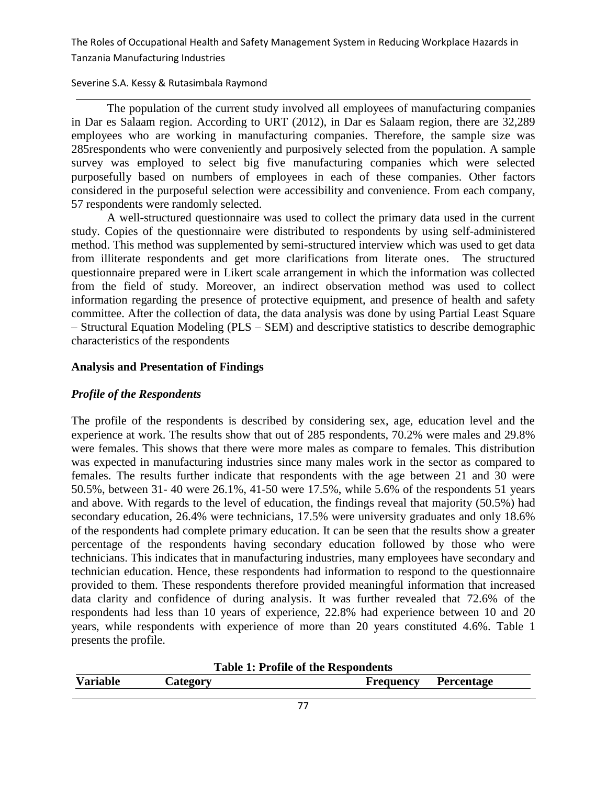#### Severine S.A. Kessy & Rutasimbala Raymond

The population of the current study involved all employees of manufacturing companies in Dar es Salaam region. According to URT (2012), in Dar es Salaam region, there are 32,289 employees who are working in manufacturing companies. Therefore, the sample size was 285respondents who were conveniently and purposively selected from the population. A sample survey was employed to select big five manufacturing companies which were selected purposefully based on numbers of employees in each of these companies. Other factors considered in the purposeful selection were accessibility and convenience. From each company, 57 respondents were randomly selected.

A well-structured questionnaire was used to collect the primary data used in the current study. Copies of the questionnaire were distributed to respondents by using self-administered method. This method was supplemented by semi-structured interview which was used to get data from illiterate respondents and get more clarifications from literate ones. The structured questionnaire prepared were in Likert scale arrangement in which the information was collected from the field of study*.* Moreover, an indirect observation method was used to collect information regarding the presence of protective equipment, and presence of health and safety committee. After the collection of data, the data analysis was done by using Partial Least Square – Structural Equation Modeling (PLS – SEM) and descriptive statistics to describe demographic characteristics of the respondents

### **Analysis and Presentation of Findings**

### *Profile of the Respondents*

The profile of the respondents is described by considering sex, age, education level and the experience at work. The results show that out of 285 respondents, 70.2% were males and 29.8% were females. This shows that there were more males as compare to females. This distribution was expected in manufacturing industries since many males work in the sector as compared to females. The results further indicate that respondents with the age between 21 and 30 were 50.5%, between 31- 40 were 26.1%, 41-50 were 17.5%, while 5.6% of the respondents 51 years and above. With regards to the level of education, the findings reveal that majority (50.5%) had secondary education, 26.4% were technicians, 17.5% were university graduates and only 18.6% of the respondents had complete primary education. It can be seen that the results show a greater percentage of the respondents having secondary education followed by those who were technicians. This indicates that in manufacturing industries, many employees have secondary and technician education. Hence, these respondents had information to respond to the questionnaire provided to them. These respondents therefore provided meaningful information that increased data clarity and confidence of during analysis. It was further revealed that 72.6% of the respondents had less than 10 years of experience, 22.8% had experience between 10 and 20 years, while respondents with experience of more than 20 years constituted 4.6%. Table 1 presents the profile.

| <b>Table 1: Profile of the Respondents</b> |                 |                  |                   |  |  |  |  |  |
|--------------------------------------------|-----------------|------------------|-------------------|--|--|--|--|--|
| <b>Variable</b>                            | <i>Category</i> | <b>Frequency</b> | <b>Percentage</b> |  |  |  |  |  |
|                                            |                 |                  |                   |  |  |  |  |  |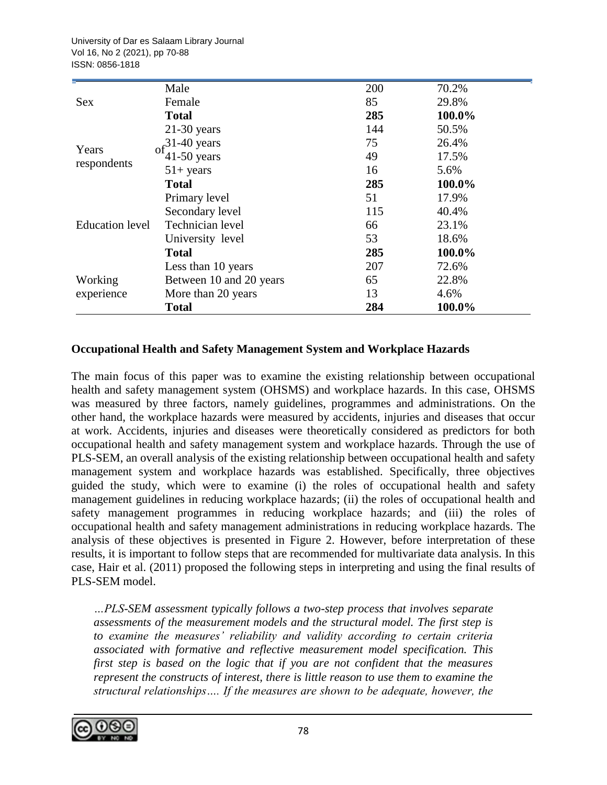University of Dar es Salaam Library Journal Vol 16, No 2 (2021), pp 70-88 ISSN: 0856-1818

|                                               | Male                    | 200 | 70.2%  |
|-----------------------------------------------|-------------------------|-----|--------|
| <b>Sex</b>                                    | Female                  | 85  | 29.8%  |
|                                               | <b>Total</b>            | 285 | 100.0% |
|                                               | $21-30$ years           | 144 | 50.5%  |
| Years<br>respondents<br>Working<br>experience | of $31-40$ years        | 75  | 26.4%  |
|                                               | 41-50 years             | 49  | 17.5%  |
|                                               | $51 + years$            | 16  | 5.6%   |
|                                               | <b>Total</b>            | 285 | 100.0% |
|                                               | Primary level           | 51  | 17.9%  |
|                                               | Secondary level         | 115 | 40.4%  |
| <b>Education</b> level                        | Technician level        | 66  | 23.1%  |
|                                               | University level        | 53  | 18.6%  |
|                                               | <b>Total</b>            | 285 | 100.0% |
|                                               | Less than 10 years      | 207 | 72.6%  |
|                                               | Between 10 and 20 years | 65  | 22.8%  |
|                                               | More than 20 years      | 13  | 4.6%   |
|                                               | <b>Total</b>            | 284 | 100.0% |

## **Occupational Health and Safety Management System and Workplace Hazards**

The main focus of this paper was to examine the existing relationship between occupational health and safety management system (OHSMS) and workplace hazards. In this case, OHSMS was measured by three factors, namely guidelines, programmes and administrations. On the other hand, the workplace hazards were measured by accidents, injuries and diseases that occur at work. Accidents, injuries and diseases were theoretically considered as predictors for both occupational health and safety management system and workplace hazards. Through the use of PLS-SEM, an overall analysis of the existing relationship between occupational health and safety management system and workplace hazards was established. Specifically, three objectives guided the study, which were to examine (i) the roles of occupational health and safety management guidelines in reducing workplace hazards; (ii) the roles of occupational health and safety management programmes in reducing workplace hazards; and (iii) the roles of occupational health and safety management administrations in reducing workplace hazards. The analysis of these objectives is presented in Figure 2. However, before interpretation of these results, it is important to follow steps that are recommended for multivariate data analysis. In this case, Hair et al. (2011) proposed the following steps in interpreting and using the final results of PLS-SEM model.

*…PLS-SEM assessment typically follows a two-step process that involves separate assessments of the measurement models and the structural model. The first step is to examine the measures' reliability and validity according to certain criteria associated with formative and reflective measurement model specification. This first step is based on the logic that if you are not confident that the measures represent the constructs of interest, there is little reason to use them to examine the structural relationships…. If the measures are shown to be adequate, however, the* 

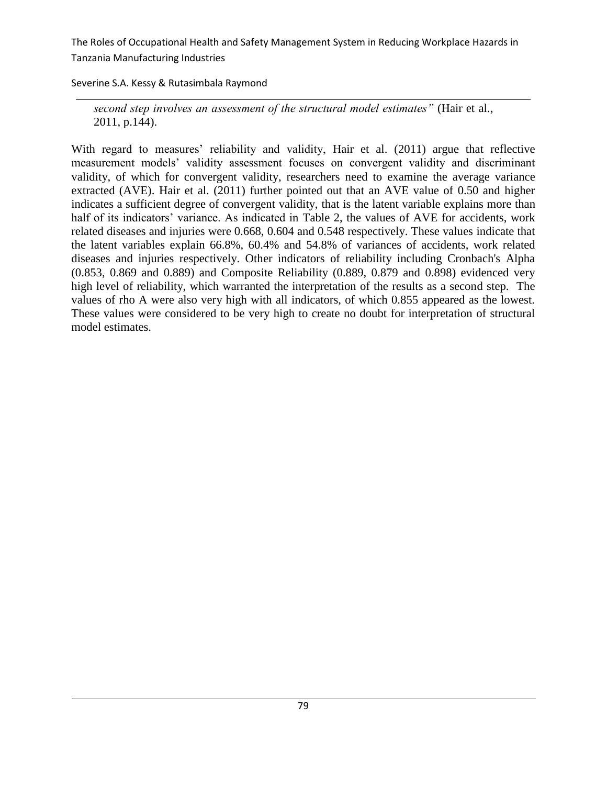Severine S.A. Kessy & Rutasimbala Raymond

*second step involves an assessment of the structural model estimates"* (Hair et al., 2011, p.144).

With regard to measures' reliability and validity, Hair et al. (2011) argue that reflective measurement models' validity assessment focuses on convergent validity and discriminant validity, of which for convergent validity, researchers need to examine the average variance extracted (AVE). Hair et al. (2011) further pointed out that an AVE value of 0.50 and higher indicates a sufficient degree of convergent validity, that is the latent variable explains more than half of its indicators' variance. As indicated in Table 2, the values of AVE for accidents, work related diseases and injuries were 0.668, 0.604 and 0.548 respectively. These values indicate that the latent variables explain 66.8%, 60.4% and 54.8% of variances of accidents, work related diseases and injuries respectively. Other indicators of reliability including Cronbach's Alpha (0.853, 0.869 and 0.889) and Composite Reliability (0.889, 0.879 and 0.898) evidenced very high level of reliability, which warranted the interpretation of the results as a second step. The values of rho A were also very high with all indicators, of which 0.855 appeared as the lowest. These values were considered to be very high to create no doubt for interpretation of structural model estimates.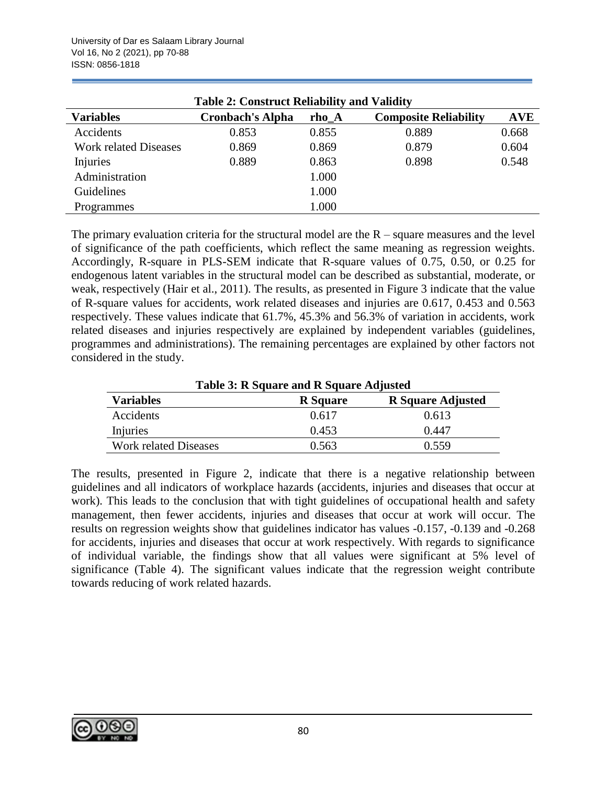| <b>Table 2: Construct Reliability and Validity</b> |                         |       |                              |            |  |  |  |  |  |
|----------------------------------------------------|-------------------------|-------|------------------------------|------------|--|--|--|--|--|
| <b>Variables</b>                                   | <b>Cronbach's Alpha</b> | rho A | <b>Composite Reliability</b> | <b>AVE</b> |  |  |  |  |  |
| Accidents                                          | 0.853                   | 0.855 | 0.889                        | 0.668      |  |  |  |  |  |
| <b>Work related Diseases</b>                       | 0.869                   | 0.869 | 0.879                        | 0.604      |  |  |  |  |  |
| Injuries                                           | 0.889                   | 0.863 | 0.898                        | 0.548      |  |  |  |  |  |
| Administration                                     |                         | 1.000 |                              |            |  |  |  |  |  |
| Guidelines                                         |                         | 1.000 |                              |            |  |  |  |  |  |
| Programmes                                         |                         | 1.000 |                              |            |  |  |  |  |  |

The primary evaluation criteria for the structural model are the  $R -$  square measures and the level of significance of the path coefficients, which reflect the same meaning as regression weights. Accordingly, R-square in PLS-SEM indicate that R-square values of 0.75, 0.50, or 0.25 for endogenous latent variables in the structural model can be described as substantial, moderate, or weak, respectively (Hair et al., 2011). The results, as presented in Figure 3 indicate that the value of R-square values for accidents, work related diseases and injuries are 0.617, 0.453 and 0.563 respectively. These values indicate that 61.7%, 45.3% and 56.3% of variation in accidents, work related diseases and injuries respectively are explained by independent variables (guidelines, programmes and administrations). The remaining percentages are explained by other factors not considered in the study.

| Table 3: R Square and R Square Adjusted                         |       |       |  |  |  |  |  |  |  |
|-----------------------------------------------------------------|-------|-------|--|--|--|--|--|--|--|
| <b>R</b> Square Adjusted<br><b>Variables</b><br><b>R</b> Square |       |       |  |  |  |  |  |  |  |
| Accidents                                                       | 0.617 | 0.613 |  |  |  |  |  |  |  |
| Injuries                                                        | 0.453 | 0.447 |  |  |  |  |  |  |  |
| <b>Work related Diseases</b>                                    | 0.563 | 0.559 |  |  |  |  |  |  |  |

The results, presented in Figure 2, indicate that there is a negative relationship between guidelines and all indicators of workplace hazards (accidents, injuries and diseases that occur at work). This leads to the conclusion that with tight guidelines of occupational health and safety management, then fewer accidents, injuries and diseases that occur at work will occur. The results on regression weights show that guidelines indicator has values -0.157, -0.139 and -0.268 for accidents, injuries and diseases that occur at work respectively. With regards to significance of individual variable, the findings show that all values were significant at 5% level of significance (Table 4). The significant values indicate that the regression weight contribute towards reducing of work related hazards.

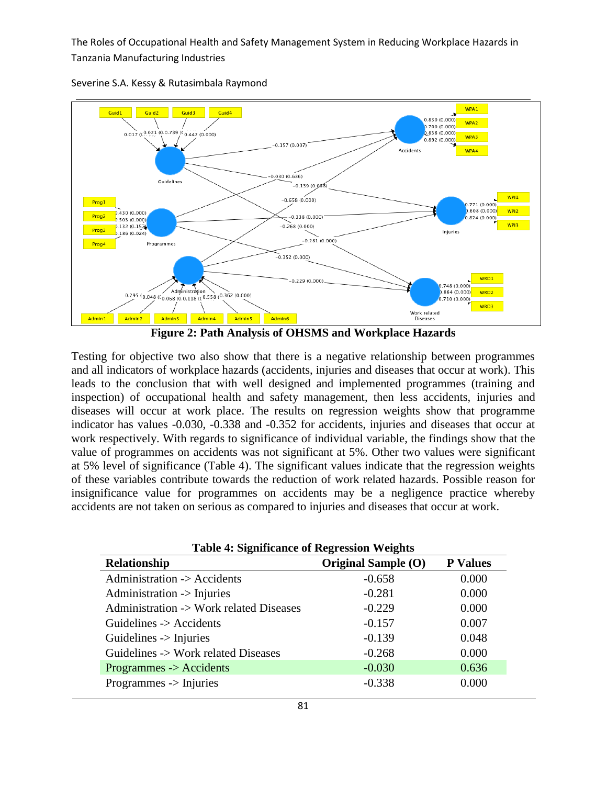



**Figure 2: Path Analysis of OHSMS and Workplace Hazards**

Testing for objective two also show that there is a negative relationship between programmes and all indicators of workplace hazards (accidents, injuries and diseases that occur at work). This leads to the conclusion that with well designed and implemented programmes (training and inspection) of occupational health and safety management, then less accidents, injuries and diseases will occur at work place. The results on regression weights show that programme indicator has values -0.030, -0.338 and -0.352 for accidents, injuries and diseases that occur at work respectively. With regards to significance of individual variable, the findings show that the value of programmes on accidents was not significant at 5%. Other two values were significant at 5% level of significance (Table 4). The significant values indicate that the regression weights of these variables contribute towards the reduction of work related hazards. Possible reason for insignificance value for programmes on accidents may be a negligence practice whereby accidents are not taken on serious as compared to injuries and diseases that occur at work.

| <b>Table 4: Significance of Regression Weights</b> |                            |                 |  |  |  |  |  |  |
|----------------------------------------------------|----------------------------|-----------------|--|--|--|--|--|--|
| Relationship                                       | <b>Original Sample (O)</b> | <b>P</b> Values |  |  |  |  |  |  |
| Administration -> Accidents                        | $-0.658$                   | 0.000           |  |  |  |  |  |  |
| Administration -> Injuries                         | $-0.281$                   | 0.000           |  |  |  |  |  |  |
| Administration -> Work related Diseases            | $-0.229$                   | 0.000           |  |  |  |  |  |  |
| Guidelines $\rightarrow$ Accidents                 | $-0.157$                   | 0.007           |  |  |  |  |  |  |
| Guidelines $\rightarrow$ Injuries                  | $-0.139$                   | 0.048           |  |  |  |  |  |  |
| Guidelines -> Work related Diseases                | $-0.268$                   | 0.000           |  |  |  |  |  |  |
| Programmes -> Accidents                            | $-0.030$                   | 0.636           |  |  |  |  |  |  |
| Programmes $\rightarrow$ Injuries                  | $-0.338$                   | 0.000           |  |  |  |  |  |  |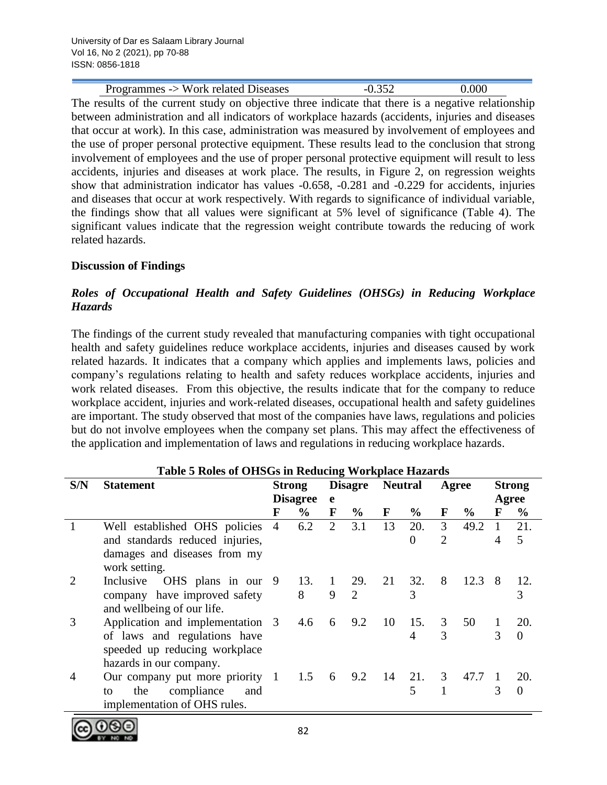| $\overline{\phantom{a}}$<br><b>Diseases</b><br>related<br>∩rl<br>M<br>n<br>THEN<br>$\overline{\phantom{0}}$<br>$\sim$ $\sim$ |  |  |
|------------------------------------------------------------------------------------------------------------------------------|--|--|
|------------------------------------------------------------------------------------------------------------------------------|--|--|

The results of the current study on objective three indicate that there is a negative relationship between administration and all indicators of workplace hazards (accidents, injuries and diseases that occur at work). In this case, administration was measured by involvement of employees and the use of proper personal protective equipment. These results lead to the conclusion that strong involvement of employees and the use of proper personal protective equipment will result to less accidents, injuries and diseases at work place. The results, in Figure 2, on regression weights show that administration indicator has values -0.658, -0.281 and -0.229 for accidents, injuries and diseases that occur at work respectively. With regards to significance of individual variable, the findings show that all values were significant at 5% level of significance (Table 4). The significant values indicate that the regression weight contribute towards the reducing of work related hazards.

### **Discussion of Findings**

### *Roles of Occupational Health and Safety Guidelines (OHSGs) in Reducing Workplace Hazards*

The findings of the current study revealed that manufacturing companies with tight occupational health and safety guidelines reduce workplace accidents, injuries and diseases caused by work related hazards. It indicates that a company which applies and implements laws, policies and company's regulations relating to health and safety reduces workplace accidents, injuries and work related diseases. From this objective, the results indicate that for the company to reduce workplace accident, injuries and work-related diseases, occupational health and safety guidelines are important. The study observed that most of the companies have laws, regulations and policies but do not involve employees when the company set plans. This may affect the effectiveness of the application and implementation of laws and regulations in reducing workplace hazards.

|                | <b>Table 5 Roles of OHSGs in Reducing Workplace Hazards</b> |                 |               |   |                       |                |                |                |               |              |               |               |  |
|----------------|-------------------------------------------------------------|-----------------|---------------|---|-----------------------|----------------|----------------|----------------|---------------|--------------|---------------|---------------|--|
| S/N            | <b>Statement</b>                                            | <b>Strong</b>   |               |   |                       | <b>Disagre</b> |                | <b>Neutral</b> |               | Agree        |               | <b>Strong</b> |  |
|                |                                                             | <b>Disagree</b> |               | e |                       |                |                |                |               | Agree        |               |               |  |
|                |                                                             | F               | $\frac{6}{9}$ | F | $\frac{6}{9}$         | F              | $\%$           | F              | $\frac{6}{9}$ | F            | $\frac{6}{9}$ |               |  |
| $\mathbf{1}$   | Well established OHS policies                               | $\overline{4}$  | 6.2           | 2 | 3.1                   | 13             | 20.            | 3 <sup>1</sup> | 49.2          | $\mathbf{1}$ | 21.           |               |  |
|                | and standards reduced injuries,                             |                 |               |   |                       |                | $\overline{0}$ | $\overline{2}$ |               | 4            | 5             |               |  |
|                | damages and diseases from my                                |                 |               |   |                       |                |                |                |               |              |               |               |  |
|                | work setting.                                               |                 |               |   |                       |                |                |                |               |              |               |               |  |
| $\overline{2}$ | OHS plans in our 9<br>Inclusive                             |                 | 13.           |   | 29.                   | 21             | 32.            | 8              | 12.3          | 8            | 12.           |               |  |
|                | company have improved safety                                |                 | 8             | 9 | $\mathcal{D}_{\cdot}$ |                | 3              |                |               |              |               |               |  |
|                | and wellbeing of our life.                                  |                 |               |   |                       |                |                |                |               |              |               |               |  |
| 3              | Application and implementation 3                            |                 | 4.6           | 6 | 9.2                   | 10             | 15.            | 3              | 50            |              | 20.           |               |  |
|                | of laws and regulations have                                |                 |               |   |                       |                | 4              | 3              |               | 3            | $\Omega$      |               |  |
|                | speeded up reducing workplace                               |                 |               |   |                       |                |                |                |               |              |               |               |  |
|                | hazards in our company.                                     |                 |               |   |                       |                |                |                |               |              |               |               |  |
| $\overline{4}$ | Our company put more priority 1                             |                 | 1.5           | 6 | 9.2                   | 14             | 21.            | 3              | 47.7          |              | 20.           |               |  |
|                | compliance<br>the<br>and<br>to                              |                 |               |   |                       |                | 5              |                |               | 3            | $\Omega$      |               |  |
|                | implementation of OHS rules.                                |                 |               |   |                       |                |                |                |               |              |               |               |  |

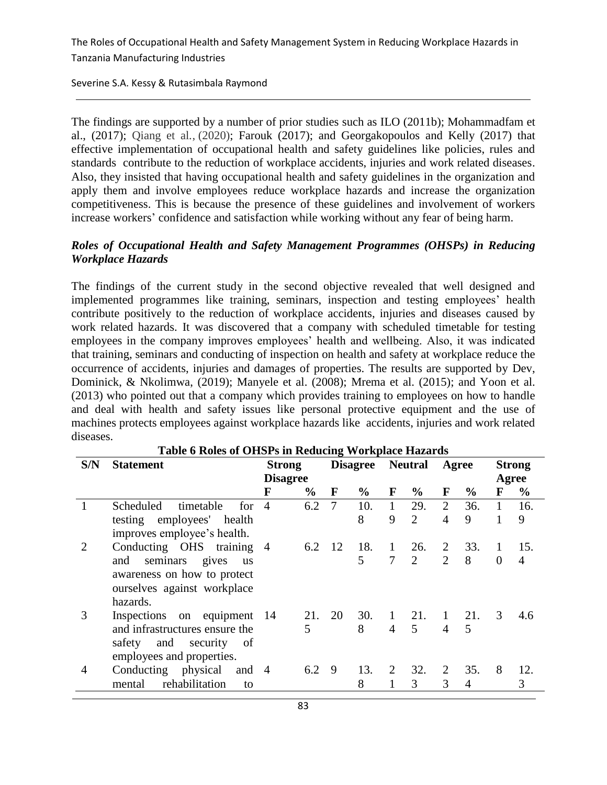Severine S.A. Kessy & Rutasimbala Raymond

The findings are supported by a number of prior studies such as ILO (2011b); Mohammadfam et al., (2017); Qiang et al*.*, (2020); Farouk (2017); and Georgakopoulos and Kelly (2017) that effective implementation of occupational health and safety guidelines like policies, rules and standards contribute to the reduction of workplace accidents, injuries and work related diseases. Also, they insisted that having occupational health and safety guidelines in the organization and apply them and involve employees reduce workplace hazards and increase the organization competitiveness. This is because the presence of these guidelines and involvement of workers increase workers' confidence and satisfaction while working without any fear of being harm.

# *Roles of Occupational Health and Safety Management Programmes (OHSPs) in Reducing Workplace Hazards*

The findings of the current study in the second objective revealed that well designed and implemented programmes like training, seminars, inspection and testing employees' health contribute positively to the reduction of workplace accidents, injuries and diseases caused by work related hazards. It was discovered that a company with scheduled timetable for testing employees in the company improves employees' health and wellbeing. Also, it was indicated that training, seminars and conducting of inspection on health and safety at workplace reduce the occurrence of accidents, injuries and damages of properties. The results are supported by Dev, Dominick, & Nkolimwa, (2019); Manyele et al. (2008); Mrema et al. (2015); and Yoon et al. (2013) who pointed out that a company which provides training to employees on how to handle and deal with health and safety issues like personal protective equipment and the use of machines protects employees against workplace hazards like accidents, injuries and work related diseases.

| S/N | <b>Statement</b>                                                                                                                                              | <b>Strong</b><br><b>Disagree</b> |          | <b>Disagree</b> |          | <b>Neutral</b>    |                                    | Agree                            |          | <b>Strong</b><br>Agree |               |
|-----|---------------------------------------------------------------------------------------------------------------------------------------------------------------|----------------------------------|----------|-----------------|----------|-------------------|------------------------------------|----------------------------------|----------|------------------------|---------------|
|     |                                                                                                                                                               | F                                | $\%$     | F               | $\%$     | F                 | $\%$                               | F                                | $\%$     | F                      | $\frac{6}{9}$ |
|     | Scheduled<br>timetable<br>for<br>employees'<br>testing<br>health                                                                                              | $\overline{A}$                   | 6.2      | 7               | 10.<br>8 | 1<br>9            | 29.<br>2                           | $\overline{2}$<br>$\overline{4}$ | 36.<br>9 |                        | 16.<br>9      |
| 2   | improves employee's health.<br>Conducting OHS training<br>and<br>seminars<br>gives<br><b>us</b><br>awareness on how to protect<br>ourselves against workplace | -4                               | 6.2      | <sup>12</sup>   | 18.<br>5 | 1<br>7            | 26.<br>$\mathcal{D}_{\mathcal{L}}$ | 2<br>2                           | 33.<br>8 | $\theta$               | 15.<br>4      |
| 3   | hazards.<br>Inspections on equipment<br>and infrastructures ensure the<br>and<br>safety<br>security<br>of                                                     | -14                              | 21.<br>5 | 20              | 30.<br>8 | $\overline{4}$    | 21.<br>5                           | $\mathbf{1}$<br>$\overline{4}$   | 21.<br>5 | 3                      | 4.6           |
| 4   | employees and properties.<br>Conducting physical<br>and $4$<br>rehabilitation<br>mental<br>to                                                                 |                                  | 6.2      | 9               | 13.<br>8 | 2<br>$\mathbf{1}$ | 32.<br>3                           | 2<br>3                           | 35.<br>4 | 8                      | 12.<br>3      |

**Table 6 Roles of OHSPs in Reducing Workplace Hazards**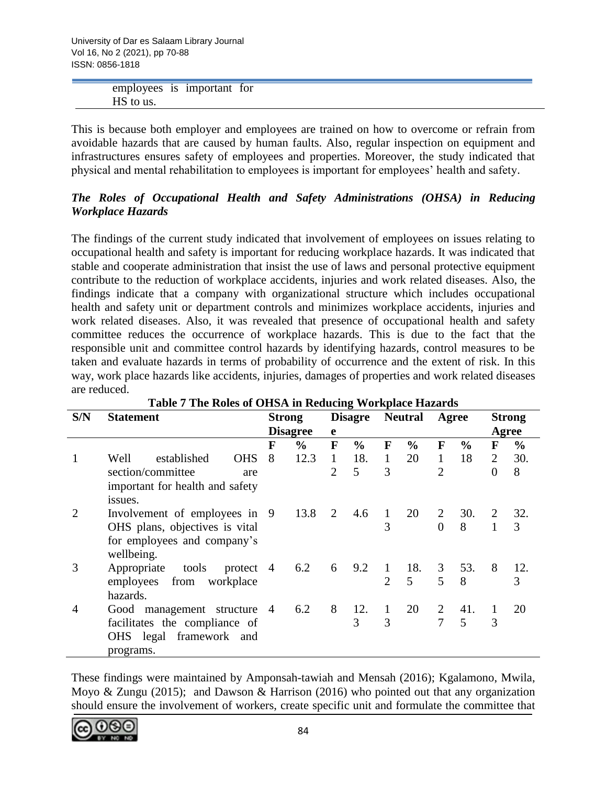University of Dar es Salaam Library Journal Vol 16, No 2 (2021), pp 70-88 ISSN: 0856-1818

> employees is important for HS to us.

This is because both employer and employees are trained on how to overcome or refrain from avoidable hazards that are caused by human faults. Also, regular inspection on equipment and infrastructures ensures safety of employees and properties. Moreover, the study indicated that physical and mental rehabilitation to employees is important for employees' health and safety.

# *The Roles of Occupational Health and Safety Administrations (OHSA) in Reducing Workplace Hazards*

The findings of the current study indicated that involvement of employees on issues relating to occupational health and safety is important for reducing workplace hazards. It was indicated that stable and cooperate administration that insist the use of laws and personal protective equipment contribute to the reduction of workplace accidents, injuries and work related diseases. Also, the findings indicate that a company with organizational structure which includes occupational health and safety unit or department controls and minimizes workplace accidents, injuries and work related diseases. Also, it was revealed that presence of occupational health and safety committee reduces the occurrence of workplace hazards. This is due to the fact that the responsible unit and committee control hazards by identifying hazards, control measures to be taken and evaluate hazards in terms of probability of occurrence and the extent of risk. In this way, work place hazards like accidents, injuries, damages of properties and work related diseases are reduced.

|                | Table / The Koles of OTIDA in Keutenig Workplace Hazarus                                           |                                 |                 |                |               |                   |                       |                |               |   |          |  |
|----------------|----------------------------------------------------------------------------------------------------|---------------------------------|-----------------|----------------|---------------|-------------------|-----------------------|----------------|---------------|---|----------|--|
| S/N            | <b>Statement</b>                                                                                   | <b>Disagre</b><br><b>Strong</b> |                 |                |               | <b>Neutral</b>    | Agree                 |                | <b>Strong</b> |   |          |  |
|                |                                                                                                    |                                 | <b>Disagree</b> |                | e             |                   |                       |                |               |   | Agree    |  |
|                |                                                                                                    | F                               | $\%$            | F              | $\frac{6}{9}$ | F                 | $\frac{0}{0}$         | F              | $\%$          | F | $\%$     |  |
|                | <b>OHS</b><br>Well<br>established                                                                  | 8                               | 12.3            | $\mathbf{1}$   | 18.           | 1                 | 20                    |                | 18            | 2 | 30.      |  |
|                | section/committee<br>are<br>important for health and safety<br>issues.                             |                                 |                 | $\overline{2}$ | 5             | 3                 |                       | $\overline{2}$ |               | 0 | 8        |  |
| $\overline{2}$ | Involvement of employees in 9                                                                      |                                 | 13.8            | 2              | 4.6           | $\mathbf{1}$      | 20                    | 2              | 30.           | 2 | 32.      |  |
|                | OHS plans, objectives is vital<br>for employees and company's<br>wellbeing.                        |                                 |                 |                |               | 3                 |                       | $\Omega$       | 8             |   | 3        |  |
| 3              | tools<br>Appropriate<br>protect<br>from<br>workplace<br>employees<br>hazards.                      | $\overline{4}$                  | 6.2             | 6              | 9.2           | 1<br>2            | 18.<br>$\mathfrak{H}$ | 3<br>5         | 53.<br>8      | 8 | 12.<br>3 |  |
| 4              | Good management structure<br>facilitates the compliance of<br>OHS legal framework and<br>programs. | $\overline{4}$                  | 6.2             | 8              | 12.<br>3      | $\mathbf{1}$<br>3 | 20                    | 2<br>7         | 41.<br>5      | 3 | 20       |  |

## **Table 7 The Roles of OHSA in Reducing Workplace Hazards**

These findings were maintained by Amponsah-tawiah and Mensah (2016); Kgalamono, Mwila, Moyo & Zungu (2015); and Dawson & Harrison (2016) who pointed out that any organization should ensure the involvement of workers, create specific unit and formulate the committee that

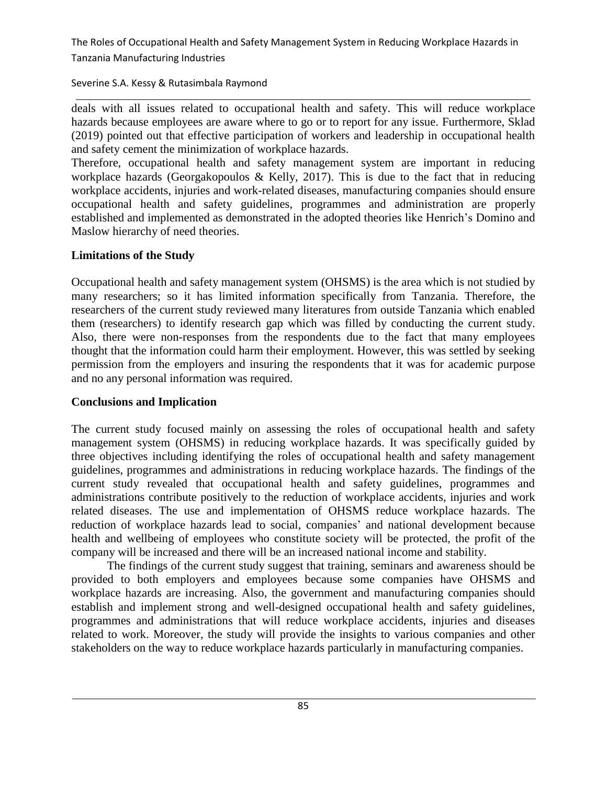Severine S.A. Kessy & Rutasimbala Raymond

deals with all issues related to occupational health and safety. This will reduce workplace hazards because employees are aware where to go or to report for any issue. Furthermore, Sklad (2019) pointed out that effective participation of workers and leadership in occupational health and safety cement the minimization of workplace hazards.

Therefore, occupational health and safety management system are important in reducing workplace hazards (Georgakopoulos & Kelly, 2017). This is due to the fact that in reducing workplace accidents, injuries and work-related diseases, manufacturing companies should ensure occupational health and safety guidelines, programmes and administration are properly established and implemented as demonstrated in the adopted theories like Henrich's Domino and Maslow hierarchy of need theories.

# **Limitations of the Study**

Occupational health and safety management system (OHSMS) is the area which is not studied by many researchers; so it has limited information specifically from Tanzania. Therefore, the researchers of the current study reviewed many literatures from outside Tanzania which enabled them (researchers) to identify research gap which was filled by conducting the current study. Also, there were non-responses from the respondents due to the fact that many employees thought that the information could harm their employment. However, this was settled by seeking permission from the employers and insuring the respondents that it was for academic purpose and no any personal information was required.

# **Conclusions and Implication**

The current study focused mainly on assessing the roles of occupational health and safety management system (OHSMS) in reducing workplace hazards. It was specifically guided by three objectives including identifying the roles of occupational health and safety management guidelines, programmes and administrations in reducing workplace hazards. The findings of the current study revealed that occupational health and safety guidelines, programmes and administrations contribute positively to the reduction of workplace accidents, injuries and work related diseases. The use and implementation of OHSMS reduce workplace hazards. The reduction of workplace hazards lead to social, companies' and national development because health and wellbeing of employees who constitute society will be protected, the profit of the company will be increased and there will be an increased national income and stability.

The findings of the current study suggest that training, seminars and awareness should be provided to both employers and employees because some companies have OHSMS and workplace hazards are increasing. Also, the government and manufacturing companies should establish and implement strong and well-designed occupational health and safety guidelines, programmes and administrations that will reduce workplace accidents, injuries and diseases related to work. Moreover, the study will provide the insights to various companies and other stakeholders on the way to reduce workplace hazards particularly in manufacturing companies.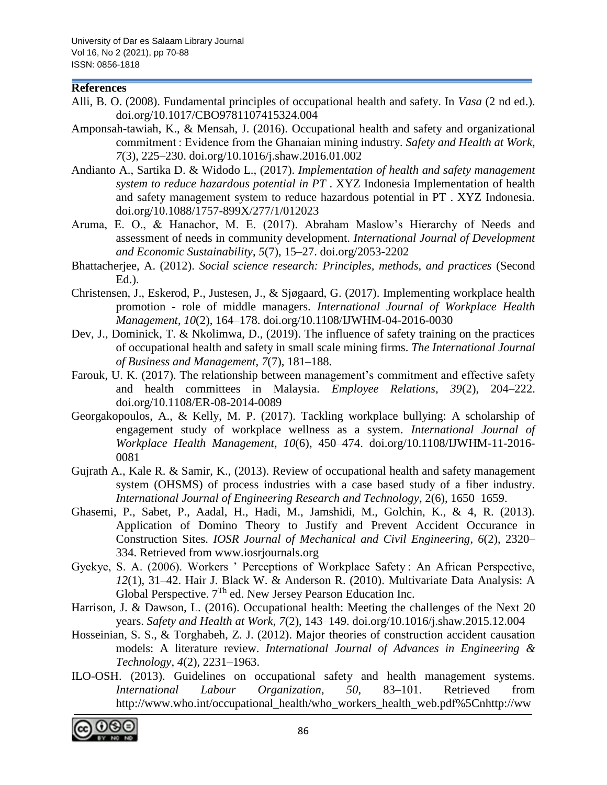#### **References**

- Alli, B. O. (2008). Fundamental principles of occupational health and safety. In *Vasa* (2 nd ed.). doi.org/10.1017/CBO9781107415324.004
- Amponsah-tawiah, K., & Mensah, J. (2016). Occupational health and safety and organizational commitment : Evidence from the Ghanaian mining industry. *Safety and Health at Work*, *7*(3), 225–230. doi.org/10.1016/j.shaw.2016.01.002
- Andianto A., Sartika D. & Widodo L., (2017). *Implementation of health and safety management system to reduce hazardous potential in PT* . XYZ Indonesia Implementation of health and safety management system to reduce hazardous potential in PT . XYZ Indonesia. doi.org/10.1088/1757-899X/277/1/012023
- Aruma, E. O., & Hanachor, M. E. (2017). Abraham Maslow's Hierarchy of Needs and assessment of needs in community development. *International Journal of Development and Economic Sustainability*, *5*(7), 15–27. doi.org/2053-2202
- Bhattacherjee, A. (2012). *Social science research: Principles, methods, and practices* (Second Ed.).
- Christensen, J., Eskerod, P., Justesen, J., & Sjøgaard, G. (2017). Implementing workplace health promotion - role of middle managers. *International Journal of Workplace Health Management*, *10*(2), 164–178. doi.org/10.1108/IJWHM-04-2016-0030
- Dev, J., Dominick, T. & Nkolimwa, D., (2019). The influence of safety training on the practices of occupational health and safety in small scale mining firms. *The International Journal of Business and Management*, *7*(7), 181–188.
- Farouk, U. K. (2017). The relationship between management's commitment and effective safety and health committees in Malaysia. *Employee Relations*, *39*(2), 204–222. doi.org/10.1108/ER-08-2014-0089
- Georgakopoulos, A., & Kelly, M. P. (2017). Tackling workplace bullying: A scholarship of engagement study of workplace wellness as a system. *International Journal of Workplace Health Management*, *10*(6), 450–474. doi.org/10.1108/IJWHM-11-2016- 0081
- Gujrath A., Kale R. & Samir, K., (2013). Review of occupational health and safety management system (OHSMS) of process industries with a case based study of a fiber industry. *International Journal of Engineering Research and Technology*, 2(6), 1650–1659.
- Ghasemi, P., Sabet, P., Aadal, H., Hadi, M., Jamshidi, M., Golchin, K., & 4, R. (2013). Application of Domino Theory to Justify and Prevent Accident Occurance in Construction Sites. *IOSR Journal of Mechanical and Civil Engineering*, *6*(2), 2320– 334. Retrieved from www.iosrjournals.org
- Gyekye, S. A. (2006). Workers ' Perceptions of Workplace Safety : An African Perspective, *12*(1), 31–42. Hair J. Black W. & Anderson R. (2010). Multivariate Data Analysis: A Global Perspective.  $7^{Th}$  ed. New Jersey Pearson Education Inc.
- Harrison, J. & Dawson, L. (2016). Occupational health: Meeting the challenges of the Next 20 years. *Safety and Health at Work*, *7*(2), 143–149. doi.org/10.1016/j.shaw.2015.12.004
- Hosseinian, S. S., & Torghabeh, Z. J. (2012). Major theories of construction accident causation models: A literature review. *International Journal of Advances in Engineering & Technology*, *4*(2), 2231–1963.
- ILO-OSH. (2013). Guidelines on occupational safety and health management systems. *International Labour Organization*, *50*, 83–101. Retrieved from http://www.who.int/occupational\_health/who\_workers\_health\_web.pdf%5Cnhttp://ww

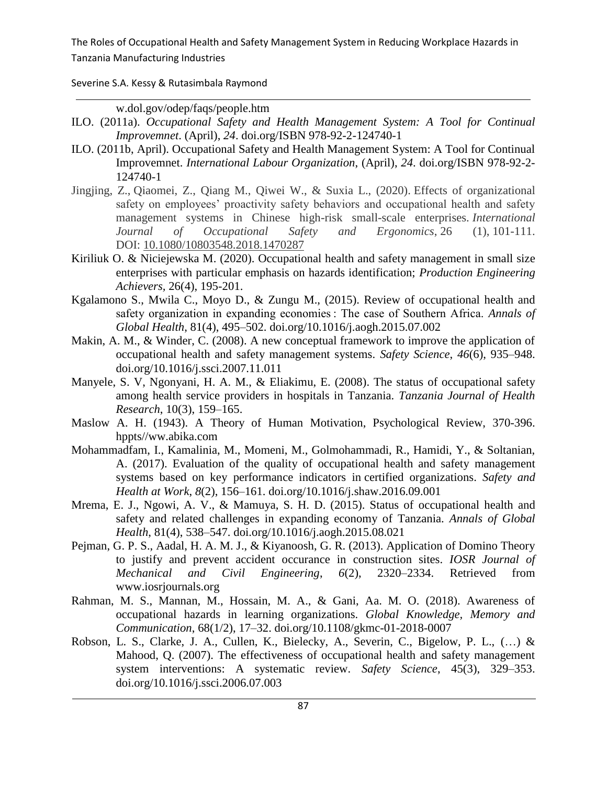Severine S.A. Kessy & Rutasimbala Raymond

w.dol.gov/odep/faqs/people.htm

- ILO. (2011a). *Occupational Safety and Health Management System: A Tool for Continual Improvemnet*. (April), *24*. doi.org/ISBN 978-92-2-124740-1
- ILO. (2011b, April). Occupational Safety and Health Management System: A Tool for Continual Improvemnet. *International Labour Organization*, (April), *24*. doi.org/ISBN 978-92-2- 124740-1
- Jingjing, Z., Qiaomei, Z., Qiang M., Qiwei W., & Suxia L., (2020). Effects of organizational safety on employees' proactivity safety behaviors and occupational health and safety management systems in Chinese high-risk small-scale enterprises. *International Journal of Occupational Safety and Ergonomics*, 26 (1), 101-111. DOI: [10.1080/10803548.2018.1470287](https://doi.org/10.1080/10803548.2018.1470287)
- Kiriliuk O. & Niciejewska M. (2020). Occupational health and safety management in small size enterprises with particular emphasis on hazards identification; *Production Engineering Achievers,* 26(4), 195-201.
- Kgalamono S., Mwila C., Moyo D., & Zungu M., (2015). Review of occupational health and safety organization in expanding economies : The case of Southern Africa. *Annals of Global Health*, 81(4), 495–502. doi.org/10.1016/j.aogh.2015.07.002
- Makin, A. M., & Winder, C. (2008). A new conceptual framework to improve the application of occupational health and safety management systems. *Safety Science*, *46*(6), 935–948. doi.org/10.1016/j.ssci.2007.11.011
- Manyele, S. V, Ngonyani, H. A. M., & Eliakimu, E. (2008). The status of occupational safety among health service providers in hospitals in Tanzania. *Tanzania Journal of Health Research*, 10(3), 159–165.
- Maslow A. H. (1943). A Theory of Human Motivation, Psychological Review, 370-396. hppts//ww.abika.com
- Mohammadfam, I., Kamalinia, M., Momeni, M., Golmohammadi, R., Hamidi, Y., & Soltanian, A. (2017). Evaluation of the quality of occupational health and safety management systems based on key performance indicators in certified organizations. *Safety and Health at Work*, *8*(2), 156–161. doi.org/10.1016/j.shaw.2016.09.001
- Mrema, E. J., Ngowi, A. V., & Mamuya, S. H. D. (2015). Status of occupational health and safety and related challenges in expanding economy of Tanzania. *Annals of Global Health*, 81(4), 538–547. doi.org/10.1016/j.aogh.2015.08.021
- Pejman, G. P. S., Aadal, H. A. M. J., & Kiyanoosh, G. R. (2013). Application of Domino Theory to justify and prevent accident occurance in construction sites. *IOSR Journal of Mechanical and Civil Engineering*, *6*(2), 2320–2334. Retrieved from www.iosrjournals.org
- Rahman, M. S., Mannan, M., Hossain, M. A., & Gani, Aa. M. O. (2018). Awareness of occupational hazards in learning organizations. *Global Knowledge, Memory and Communication*, 68(1/2), 17–32. doi.org/10.1108/gkmc-01-2018-0007
- Robson, L. S., Clarke, J. A., Cullen, K., Bielecky, A., Severin, C., Bigelow, P. L., (…) & Mahood, Q. (2007). The effectiveness of occupational health and safety management system interventions: A systematic review. *Safety Science*, 45(3), 329–353. doi.org/10.1016/j.ssci.2006.07.003